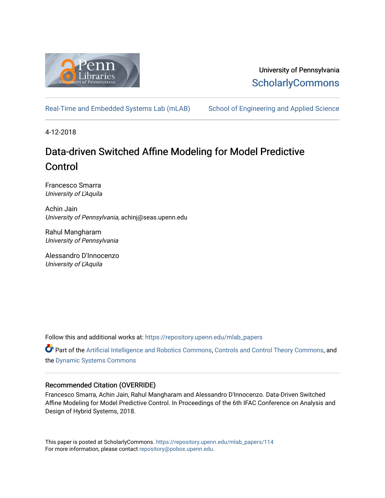

University of Pennsylvania **ScholarlyCommons** 

[Real-Time and Embedded Systems Lab \(mLAB\)](https://repository.upenn.edu/mlab_papers) School of Engineering and Applied Science

4-12-2018

# Data-driven Switched Affine Modeling for Model Predictive Control

Francesco Smarra University of L'Aquila

Achin Jain University of Pennsylvania, achinj@seas.upenn.edu

Rahul Mangharam University of Pennsylvania

Alessandro D'Innocenzo University of L'Aquila

Follow this and additional works at: [https://repository.upenn.edu/mlab\\_papers](https://repository.upenn.edu/mlab_papers?utm_source=repository.upenn.edu%2Fmlab_papers%2F114&utm_medium=PDF&utm_campaign=PDFCoverPages) 

**C** Part of the [Artificial Intelligence and Robotics Commons](http://network.bepress.com/hgg/discipline/143?utm_source=repository.upenn.edu%2Fmlab_papers%2F114&utm_medium=PDF&utm_campaign=PDFCoverPages), [Controls and Control Theory Commons,](http://network.bepress.com/hgg/discipline/269?utm_source=repository.upenn.edu%2Fmlab_papers%2F114&utm_medium=PDF&utm_campaign=PDFCoverPages) and the [Dynamic Systems Commons](http://network.bepress.com/hgg/discipline/117?utm_source=repository.upenn.edu%2Fmlab_papers%2F114&utm_medium=PDF&utm_campaign=PDFCoverPages) 

### Recommended Citation (OVERRIDE)

Francesco Smarra, Achin Jain, Rahul Mangharam and Alessandro D'Innocenzo. Data-Driven Switched Affine Modeling for Model Predictive Control. In Proceedings of the 6th IFAC Conference on Analysis and Design of Hybrid Systems, 2018.

This paper is posted at ScholarlyCommons. [https://repository.upenn.edu/mlab\\_papers/114](https://repository.upenn.edu/mlab_papers/114) For more information, please contact [repository@pobox.upenn.edu.](mailto:repository@pobox.upenn.edu)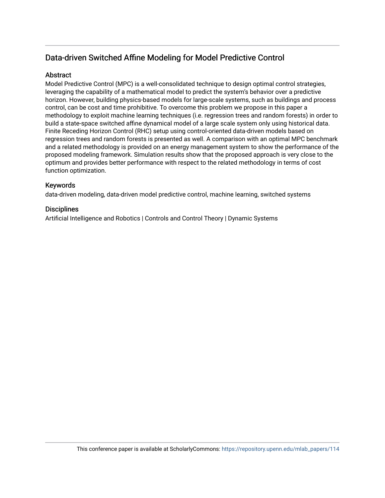## Data-driven Switched Affine Modeling for Model Predictive Control

## Abstract

Model Predictive Control (MPC) is a well-consolidated technique to design optimal control strategies, leveraging the capability of a mathematical model to predict the system's behavior over a predictive horizon. However, building physics-based models for large-scale systems, such as buildings and process control, can be cost and time prohibitive. To overcome this problem we propose in this paper a methodology to exploit machine learning techniques (i.e. regression trees and random forests) in order to build a state-space switched affine dynamical model of a large scale system only using historical data. Finite Receding Horizon Control (RHC) setup using control-oriented data-driven models based on regression trees and random forests is presented as well. A comparison with an optimal MPC benchmark and a related methodology is provided on an energy management system to show the performance of the proposed modeling framework. Simulation results show that the proposed approach is very close to the optimum and provides better performance with respect to the related methodology in terms of cost function optimization.

### Keywords

data-driven modeling, data-driven model predictive control, machine learning, switched systems

## **Disciplines**

Artificial Intelligence and Robotics | Controls and Control Theory | Dynamic Systems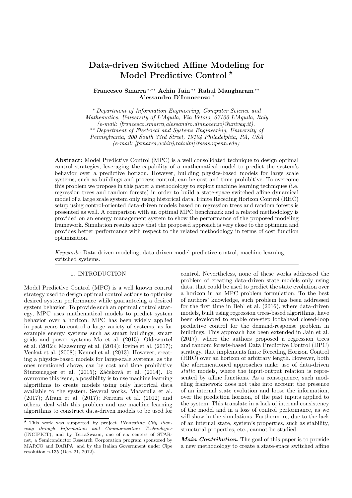## Data-driven Switched Affine Modeling for Model Predictive Control<sup>\*</sup>

Francesco Smarra <sup>∗</sup>,∗∗ Achin Jain ∗∗ Rahul Mangharam ∗∗ Alessandro D'Innocenzo <sup>∗</sup>

<sup>∗</sup> Department of Information Engineering, Computer Science and Mathematics, University of L'Aquila, Via Vetoio, 67100 L'Aquila, Italy (e-mail: [francesco.smarra,alessandro.dinnocenzo]@univaq.it). ∗∗ Department of Electrical and Systems Engineering, University of Pennsylvania, 200 South 33rd Street, 19104 Philadelphia, PA, USA (e-mail: [fsmarra,achinj,rahulm]@seas.upenn.edu)

Abstract: Model Predictive Control (MPC) is a well consolidated technique to design optimal control strategies, leveraging the capability of a mathematical model to predict the system's behavior over a predictive horizon. However, building physics-based models for large scale systems, such as buildings and process control, can be cost and time prohibitive. To overcome this problem we propose in this paper a methodology to exploit machine learning techniques (i.e. regression trees and random forests) in order to build a state-space switched affine dynamical model of a large scale system only using historical data. Finite Receding Horizon Control (RHC) setup using control-oriented data-driven models based on regression trees and random forests is presented as well. A comparison with an optimal MPC benchmark and a related methodology is provided on an energy management system to show the performance of the proposed modeling framework. Simulation results show that the proposed approach is very close to the optimum and provides better performance with respect to the related methodology in terms of cost function optimization.

Keywords: Data-driven modeling, data-driven model predictive control, machine learning, switched systems.

#### 1. INTRODUCTION

Model Predictive Control (MPC) is a well known control strategy used to design optimal control actions to optimize desired system performance while guaranteeing a desired system behavior. To provide such an optimal control strategy, MPC uses mathematical models to predict system behavior over a horizon. MPC has been widely applied in past years to control a large variety of systems, as for example energy systems such as smart buildings, smart grids and power systems Ma et al. (2015); Oldewurtel et al. (2012); Maasoumy et al. (2014); Iovine et al. (2017); Venkat et al. (2008); Kennel et al. (2013). However, creating a physics-based models for large-scale systems, as the ones mentioned above, can be cost and time prohibitive Sturzenegger et al.  $(2015)$ ; Žáčeková et al.  $(2014)$ . To overcome this issue, a possibility is to use machine learning algorithms to create models using only historical data available to the system. Several works, Macarulla et al. (2017); Afram et al. (2017); Ferreira et al. (2012) and others, deal with this problem and use machine learning algorithms to construct data-driven models to be used for

control. Nevertheless, none of these works addressed the problem of creating data-driven state models only using data, that could be used to predict the state evolution over a horizon in an MPC problem formulation. To the best of authors' knowledge, such problem has been addressed for the first time in Behl et al. (2016), where data-driven models, built using regression trees-based algorithms, have been developed to enable one-step lookahead closed-loop predictive control for the demand-response problem in buildings. This approach has been extended in Jain et al. (2017), where the authors proposed a regression trees and random forests-based Data Predictive Control (DPC) strategy, that implements finite Receding Horizon Control (RHC) over an horizon of arbitrary length. However, both the aforementioned approaches make use of data-driven static models, where the input-output relation is represented by affine functions. As a consequence, such modeling framework does not take into account the presence of an internal state evolution and loose the information, over the prediction horizon, of the past inputs applied to the system. This translate in a lack of internal consistency of the model and in a loss of control performance, as we will show in the simulations. Furthermore, due to the lack of an internal state, system's properties, such as stability, structural properties, etc., cannot be studied.

Main Contribution. The goal of this paper is to provide a new methodology to create a state-space switched affine

 $\star$  This work was supported by project INnovating City Planning through Information and Communication Technologies (INCIPICT), and by TerraSwarm, one of six centers of STARnet, a Semiconductor Research Corporation program sponsored by MARCO and DARPA, and by the Italian Government under Cipe resolution n.135 (Dec. 21, 2012).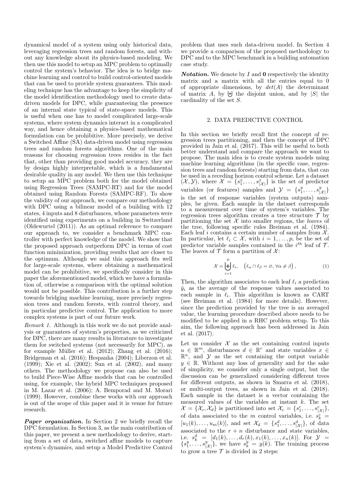dynamical model of a system using only historical data, leveraging regression trees and random forests, and without any knowledge about its physics-based modeling. We then use this model to setup an MPC problem to optimally control the system's behavior. The idea is to bridge machine learning and control to build control-oriented models that can be used to provide system guarantees. This modeling technique has the advantage to keep the simplicity of the model identification methodology used to create datadriven models for DPC, while guaranteeing the presence of an internal state typical of state-space models. This is useful when one has to model complicated large-scale systems, where system dynamics interact in a complicated way, and hence obtaining a physics-based mathematical formulation can be prohibitive. More precisely, we derive a Switched Affine (SA) data-driven model using regression trees and random forests algorithms. One of the main reasons for choosing regression trees resides in the fact that, other than providing good model accuracy, they are by design highly interpretable, which is a fundamental desirable quality in any model. We then use this technique to setup an MPC problem both for the model obtained using Regression Trees (SAMPC-RT) and for the model obtained using Random Forests (SAMPC-RF). To show the validity of our approach, we compare our methodology with DPC using a bilinear model of a building with  $12$ states, 4 inputs and 8 disturbances, whose parameters were identified using experiments on a building in Switzerland (Oldewurtel (2011)). As an optimal reference to compare our approach to, we consider a benchmark MPC controller with perfect knowledge of the model. We show that the proposed approach outperform DPC in terms of cost function minimization, providing results that are closer to the optimum. Although we said this approach fits well for large-scale systems, where obtaining a mathematical model can be prohibitive, we specifically consider in this paper the aforementioned model, which we have a formulation of, otherwise a comparison with the optimal solution would not be possible. This contribution is a further step towards bridging machine learning, more precisely regression trees and random forests, with control theory, and in particular predictive control. The application to more complex systems is part of our future work.

Remark 1. Although in this work we do not provide analysis or guarantees of system's properties, as we criticized for DPC, there are many results in literature to investigate them for switched systems (not necessarily for MPC), as for example Müller et al.  $(2012)$ ; Zhang et al.  $(2016)$ ; Bridgeman et al. (2016); Hespanha (2004); Liberzon et al. (1999); Xie et al. (2002); Sun et al. (2002), and many others. The methodology we propose can also be used to build Piece-Wise Affine models that can be controlled using, for example, the hybrid MPC techniques proposed in M. Lazar et al. (2006); A. Bemporad and M. Morari (1999). However, combine these works with our approach is out of the scope of this paper and it is venue for future research.

**Paper organization.** In Section 2 we briefly recall the DPC formulation. In Section 3, as the main contribution of this paper, we present a new methodology to derive, starting from a set of data, switched affine models to capture system's dynamics, and setup a Model Predictive Control

problem that uses such data-driven model. In Section 4 we provide a comparison of the proposed methodology to DPC and to the MPC benchmark in a building automation case study.

**Notation.** We denote by  $I$  and  $0$  respectively the identity matrix and a matrix with all the entries equal to 0 of appropriate dimensions, by  $det(A)$  the determinant of matrix A, by  $\biguplus$  the disjoint union, and by  $|S|$  the cardinality of the set S.

#### 2. DATA PREDICTIVE CONTROL

In this section we briefly recall first the concept of regression trees partitioning, and then the concept of DPC provided in Jain et al.  $(2017)$ . This will be useful to both better understand and compare the approach we want to propose. The main idea is to create system models using machine learning algorithms (in the specific case, regression trees and random forests) starting from data, that can be used in a receding horizon control scheme. Let a dataset  $(X, Y)$ , where  $\mathcal{X} = \{s_1^x, \ldots, s_{|\mathcal{X}|}^x\}$  is the set of predictor variables (or features) samples and  $\mathcal{Y} = \{s_1^y, \ldots, s_{|\mathcal{X}|}^y\}$ is the set of response variables (system outputs) samples, be given. Each sample in the dataset corresponds to a measurement over time of system's variables. The regression trees algorithm creates a tree structure  $\mathcal T$  by partitioning the set  $X$  into smaller regions, the leaves of the tree, following specific rules Breiman et al. (1984). Each leaf i contains a certain number of samples from  $\mathcal{X}$ . In particular, let  $\ell_i \subset \mathcal{X}$ , with  $i = 1, \ldots, p$ , be the set of predictor variable samples contained in the  $i^{th}$  leaf of  $\mathcal{T}$ . The leaves of  $\mathcal T$  form a partition of  $\mathcal X$ :

$$
\mathcal{X} = \biguplus_{i=1}^{p} \ell_i, \quad \left( \ell_\alpha \cap \ell_\beta = \varnothing, \forall \alpha \neq \beta \right), \tag{1}
$$

Then, the algorithm associates to each leaf  $\ell_i$  a prediction  $\hat{y}_i$  as the average of the response values associated to each sample in  $\ell_i$ . This algorithm is known as CART (see Breiman et al. (1984) for more details). However, since the prediction provided by the tree is an averaged value, the learning procedure described above needs to be modified to be applied in a RHC problem setup. To this aim, the following approach has been addressed in Jain et al. (2017).

Let us consider  $X$  as the set containing control inputs  $u \in \mathbb{R}^m$ , disturbances  $d \in \mathbb{R}^r$  and state variables  $x \in$  $\mathbb{R}^n$ , and  $\mathcal Y$  as the set containing the output variable  $y \in \mathbb{R}$ . Without any loss of generality and for the sake of simplicity, we consider only a single output, but the discussion can be generalized considering different trees for different outputs, as shown in Smarra et al. (2018), or multi-output trees, as shown in Jain et al. (2018). Each sample in the dataset is a vector containing the measured values of the variables at instant  $k$ . The set  $\mathcal{X} = \{ \mathcal{X}_c, \mathcal{X}_d \}$  is partitioned into set  $\mathcal{X}_c = \{ s_1^c, \ldots, s_{|\mathcal{X}|}^c \},$ of data associated to the  $m$  control variables, i.e.  $s_k^c$  =  $[u_1(k), \ldots, u_m(k)]$ , and set  $\mathcal{X}_d = \{s_1^d, \ldots, s_{|\mathcal{X}|}^d\}$ , of data associated to the  $r + n$  disturbance and state variables, i.e.  $s_k^d = [d_1(k), \ldots, d_r(k), x_1(k), \ldots, x_n(k)]$ . For  $\mathcal{Y} =$  $\{s_1^y, \ldots, s_{|\mathcal{X}|}^y\}$ , we have  $s_k^y = y(k)$ . The training process to grow a tree  $\mathcal T$  is divided in 2 steps: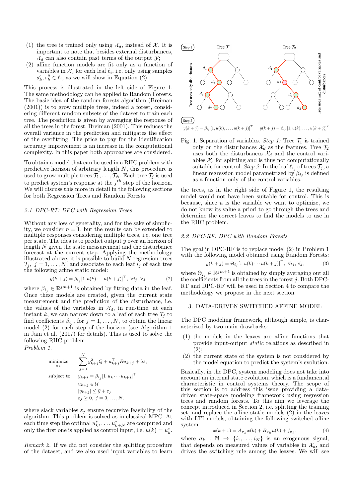- (1) the tree is trained only using  $\mathcal{X}_d$ , instead of  $\mathcal{X}$ . It is important to note that besides external disturbances,  $\mathcal{X}_d$  can also contain past terms of the output  $\mathcal{Y}$ ;
- (2) affine function models are fit only as a function of variables in  $\mathcal{X}_c$  for each leaf  $\ell_i$ , i.e. only using samples  $s_k^c, s_k^y \in \ell_i$ , as we will show in Equation (2).

This process is illustrated in the left side of Figure 1. The same methodology can be applied to Random Forests. The basic idea of the random forests algorithm (Breiman (2001)) is to grow multiple trees, indeed a forest, considering different random subsets of the dataset to train each tree. The prediction is given by averaging the response of all the trees in the forest, Breiman (2001). This reduces the overall variance in the prediction and mitigates the effect of the overfitting. The price to pay for the identification accuracy improvement is an increase in the computational complexity. In this paper both approaches are considered.

To obtain a model that can be used in a RHC problem with predictive horizon of arbitrary length N, this procedure is used to grow multiple trees  $\mathcal{T}_1, \ldots, \mathcal{T}_N$ . Each tree  $\mathcal{T}_j$  is used to predict system's response at the  $j<sup>th</sup>$  step of the horizon. We will discuss this more in detail in the following sections for both Regression Trees and Random Forests.

#### 2.1 DPC-RT: DPC with Regression Trees

Without any loss of generality, and for the sake of simplicity, we consider  $n = 1$ , but the results can be extended to multiple responses considering multiple trees, i.e. one tree per state. The idea is to predict output y over an horizon of length  $N$  given the state measurement and the disturbance forecast at the current step. Applying the methodology illustrated above, it is possible to build  $N$  regression trees  $\mathcal{T}_j, j = 1, \ldots, N$ , and associate to each leaf  $i_j$  of each tree the following affine static model:

$$
y(k+j) = \beta_{i_j} \left[ 1 \ u(k) \cdots u(k+j) \right]^\top, \ \forall i_j, \ \forall j,
$$
 (2)

where  $\beta_{i_j} \in \mathbb{R}^{jm+1}$  is obtained by fitting data in the leaf. Once these models are created, given the current state measurement and the prediction of the disturbance, i.e. the values of the variables in  $\mathcal{X}_d$ , in run-time, at each instant k, we can narrow down to a leaf of each tree  $\mathcal{T}_i$  to find coefficients  $\beta_{i_j}$ , for  $j = 1, \ldots, N$ , to obtain the linear model (2) for each step of the horizon (see Algorithm 1 in Jain et al. (2017) for details). This is used to solve the following RHC problem

Problem 1.

minimize  
\n
$$
\sum_{u_k}^{N} y_{k+j}^2 Q + u_{k+j}^\top R u_{k+j} + \lambda \varepsilon_j
$$
\nsubject to  
\n
$$
y_{k+j} = \beta_{i_j} [1 \ u_k \cdots u_{k+j}]^\top
$$
\n
$$
u_{k+j} \in \mathcal{U}
$$
\n
$$
|y_{k+j}| \leq \bar{y} + \varepsilon_j
$$
\n
$$
\varepsilon_j \geq 0, \ j = 0, \dots, N,
$$

where slack variables  $\varepsilon_i$  ensure recursive feasibility of the algorithm. This problem is solved as in classical MPC. At each time step the optimal  $u_k^*, \ldots, u_{k+N}^*$  are computed and only the first one is applied as control input, i.e.  $u(k) = u_k^*$ .

Remark 2. If we did not consider the splitting procedure of the dataset, and we also used input variables to learn



Fig. 1. Separation of variables. Step 1: Tree  $\mathcal{T}_1$  is trained only on the disturbances  $\mathcal{X}_d$  as the features. Tree  $\mathcal{T}_2$ uses both the disturbances  $\mathcal{X}_d$  and the control variables  $\mathcal{X}_c$  for splitting and is thus not computationally suitable for control. Step 2: In the leaf  $\ell_{i_j}$  of trees  $\mathcal{T}_j$ , a linear regression model parametrized by  $\beta_{i_j}$  is defined as a function only of the control variables.

the trees, as in the right side of Figure 1, the resulting model would not have been suitable for control. This is because, since  $u$  is the variable we want to optimize, we do not know its value a priori to go through the trees and determine the correct leaves to find the models to use in the RHC problem.

#### 2.2 DPC-RF: DPC with Random Forests

The goal in DPC-RF is to replace model (2) in Problem 1 with the following model obtained using Random Forests:

$$
y(k+j) = \Theta_{i_j} \left[ 1 \ u(k) \cdots u(k+j) \right]^\top, \ \forall i_j, \ \forall j,
$$
 (3)

where  $\Theta_{i_j} \in \mathbb{R}^{jm+1}$  is obtained by simply averaging out all the coefficients from all the trees in the forest  $j$ . Both DPC-RT and DPC-RF will be used in Section 4 to compare the methodology we propose in the next section.

#### 3. DATA-DRIVEN SWITCHED AFFINE MODEL

The DPC modeling framework, although simple, is characterized by two main drawbacks:

- (1) the models in the leaves are affine functions that provide input-output static relations as described in  $(2)$ ;
- (2) the current state of the system is not considered by the model equation to predict the system's evolution.

Basically, in the DPC, system modeling does not take into account an internal state evolution, which is a fundamental characteristic in control systems theory. The scope of this section is to address this issue providing a datadriven state-space modeling framework using regression trees and random forests. To this aim we leverage the concept introduced in Section 2, i.e. splitting the training set, and replace the affine static models (2) in the leaves with LTI models, obtaining the following switched affine system

$$
x(k+1) = A_{\sigma_k} x(k) + B_{\sigma_k} u(k) + f_{\sigma_k}, \tag{4}
$$

where  $\sigma_k : \mathbb{N} \to \{i_1, \ldots, i_N\}$  is an exogenous signal, that depends on measured values of variables in  $\mathcal{X}_d$ , and drives the switching rule among the leaves. We will see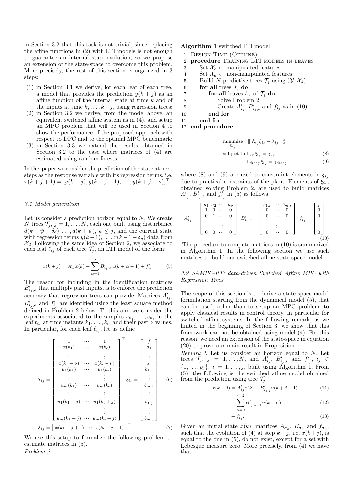in Section 3.2 that this task is not trivial, since replacing the affine functions in (2) with LTI models is not enough to guarantee an internal state evolution, so we propose an extension of the state-space to overcome this problem. More precisely, the rest of this section is organized in 3 steps:

- (1) in Section 3.1 we derive, for each leaf of each tree, a model that provides the prediction  $y(k + j)$  as an affine function of the internal state at time  $k$  and of the inputs at time  $k, \ldots, k+j$ , using regression trees;
- (2) in Section 3.2 we derive, from the model above, an equivalent switched affine system as in (4), and setup an MPC problem that will be used in Section 4 to show the performance of the proposed approach with respect to DPC and to the optimal MPC benchmark;
- (3) in Section 3.3 we extend the results obtained in Section 3.2 to the case where matrices of (4) are estimated using random forests.

In this paper we consider the prediction of the state at next steps as the response variable with its regression terms, i.e.  $x(k + j + 1) = [y(k + j), y(k + j - 1), \dots, y(k + j - \nu)]^{\top}.$ 

#### 3.1 Model generation

Let us consider a prediction horizon equal to  $N$ . We create N trees  $\mathcal{T}_j, j = 1, \ldots, N$ , each one built using disturbance  $d(k + \psi - \delta_d), \ldots, d(k + \psi), \psi \leq j$ , and the current state with regression terms  $y(k-1), \ldots, x(k-1-\delta_y)$  data from  $\mathcal{X}_d$ . Following the same idea of Section 2, we associate to each leaf  $\ell_{i_j}$  of each tree  $\mathcal{T}_j$ , an LTI model of the form:

$$
x(k+j) = A'_{i_j}x(k) + \sum_{\alpha=1}^{j} B'_{i_j,\alpha}u(k+\alpha-1) + f'_{i_j}.
$$
 (5)

The reason for including in the identification matrices  $B'_{i_j,\alpha}$  that multiply past inputs, is to enforce the prediction accuracy that regression trees can provide. Matrices  $A'_{i_j}$ ,  $B'_{i_j,\alpha}$  and  $f'_{i_j}$  are identified using the least square method defined in Problem 2 below. To this aim we consider the experiments associated to the samples  $s_{k_1}, \ldots, s_{k_\epsilon}$  in the leaf  $\ell_{i_j}$  at time instants  $k_1, \ldots, k_{\epsilon}$ , and their past  $\nu$  values. In particular, for each leaf  $\ell_{i_j}$ , let us define

$$
\Lambda_{i_j} = \begin{bmatrix}\n1 & \cdots & 1 \\
x(k_1) & \cdots & x(k_{\epsilon}) \\
\vdots & \vdots & \vdots \\
x(k_1 - \nu) & \cdots & x(k_{\epsilon} - \nu) \\
u_1(k_1) & \cdots & u_1(k_{\epsilon}) \\
\vdots & \vdots & \vdots \\
u_m(k_1) & \cdots & u_m(k_{\epsilon}) \\
\vdots & \vdots & \vdots \\
u_1(k_1 + j) & \cdots & u_1(k_{\epsilon} + j)\n\end{bmatrix}\n\xrightarrow{\xi_{i_j}} = \begin{bmatrix}\nf \\
a_1 \\
\vdots \\
a_{\nu} \\
b_{1,1} \\
\vdots \\
b_{m,1} \\
\vdots \\
b_{1,j} \\
\vdots \\
b_{m,j}\n\end{bmatrix}
$$
\n(6)  
\n
$$
\lambda_{i_j} = \begin{bmatrix}\nx(k_1 + j + 1) & \cdots & x(k_{\epsilon} + j + 1)\n\end{bmatrix}^T
$$
\n(7)

We use this setup to formalize the following problem to estimate matrices in (5). Problem 2.

#### Algorithm 1 switched LTI model

|                   | 1: DESIGN TIME (OFFLINE)                                                      |  |  |  |
|-------------------|-------------------------------------------------------------------------------|--|--|--|
|                   | 2: procedure TRAINING LTI MODELS IN LEAVES                                    |  |  |  |
| 3:                | Set $\mathcal{X}_c \leftarrow$ manipulated features                           |  |  |  |
| 4:                | Set $\mathcal{X}_d \leftarrow$ non-manipulated features                       |  |  |  |
| 5:                | Build N predictive trees $\mathcal{T}_i$ using $(\mathcal{Y}, \mathcal{X}_d)$ |  |  |  |
| 6:                | for all trees $\mathcal{T}_i$ do                                              |  |  |  |
| 7:                | for all leaves $\ell_{i_j}$ of $\mathcal{T}_j$ do                             |  |  |  |
| 8:                | Solve Problem 2                                                               |  |  |  |
| 9:                | Create $A'_{i_j}$ , $B'_{i_j,t}$ and $f'_{i_j}$ as in (10)                    |  |  |  |
| 10:               | end for                                                                       |  |  |  |
| 11:               | end for                                                                       |  |  |  |
| 12: end procedure |                                                                               |  |  |  |
|                   |                                                                               |  |  |  |

minimize 
$$
\|\Lambda_{i_j}\xi_{i_j} - \lambda_{i_j}\|_2^2
$$
  
\nsubject to  $\Gamma_{eq}\xi_{i_j} = \gamma_{eq}$  (8)  
\n $\Gamma_{diseq}\xi_{i_j} = \gamma_{diseq}$  (9)

where (8) and (9) are used to constraint elements in  $\xi_{i,j}$ due to practical constraints of the plant. Elements of  $\xi_{i_j}$ , obtained solving Problem 2, are used to build matrices  $A'_{i_j}, B'_{i_j,\iota}$  and  $f''_{i_j}$  in (5) as follows

$$
A'_{i_j} = \begin{bmatrix} a_1 & a_2 & \cdots & a_{\nu} \\ 1 & 0 & \cdots & 0 \\ 0 & 1 & \cdots & 0 \\ & & \vdots & \\ 0 & 0 & \cdots & 0 \end{bmatrix} B'_{i_j, \iota} = \begin{bmatrix} b_{1, \iota} & \cdots & b_{m, \iota} \\ 0 & \cdots & 0 \\ 0 & \cdots & 0 \\ & & \vdots & \\ 0 & \cdots & 0 \end{bmatrix} f'_{i_j} = \begin{bmatrix} f \\ 0 \\ 0 \\ \vdots \\ 0 \end{bmatrix}
$$
(10)

The procedure to compute matrices in (10) is summarized in Algorithm 1. In the following section we use such matrices to build our switched affine state-space model.

3.2 SAMPC-RT: data-driven Switched Affine MPC with Regression Trees

The scope of this section is to derive a state-space model formulation starting from the dynamical model (5), that can be used, other than to setup an MPC problem, to apply classical results in control theory, in particular for switched affine systems. In the following remark, as we hinted in the beginning of Section 3, we show that this framework can not be obtained using model (4). For this reason, we need an extension of the state-space in equation (20) to prove our main result in Proposition 1.

Remark 3. Let us consider an horizon equal to  $N$ . Let trees  $\mathcal{T}_j$ ,  $j = 1, \ldots, N$ , and  $A'_{i_j}$ ,  $B'_{i_j,i}$  and  $f'_{i_j}$ ,  $i_j \in$  $\{1,\ldots,p_j\},\ \iota=1,\ldots,j,$  built using Algorithm 1. From (5), the following is the switched affine model obtained from the prediction using tree  $\mathcal{T}_i$ 

$$
x(k+j) = A'_{i_j} x(k) + B'_{i_j, j} u(k+j-1)
$$
\n(11)

$$
+\sum_{\alpha=0}^{j-2} B'_{i_{j,\alpha+1}} u(k+\alpha) \tag{12}
$$

$$
+ f'_{ij} \tag{13}
$$

Given an initial state  $x(k)$ , matrices  $A_{\sigma_k}$ ,  $B_{\sigma_k}$  and  $f_{\sigma_k}$ , such that the evolution of (4) at step  $k + j$ , i.e.  $x(k + j)$ , is equal to the one in (5), do not exist, except for a set with Lebesgue measure zero. More precisely, from (4) we have that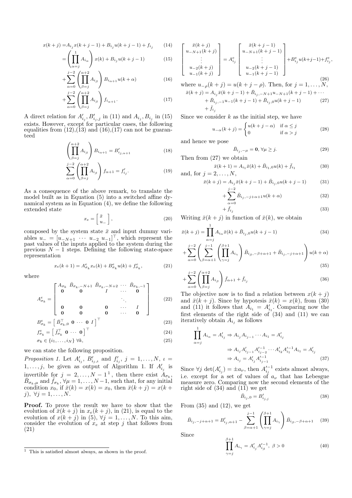$$
x(k+j) = A_{i_j} x(k+j-1) + B_{i_j} u(k+j-1) + f_{i_j}
$$
 (14)

$$
= \left(\prod_{\alpha=j}^{1} A_{i_{\alpha}}\right) x(k) + B_{i_{j}} u(k+j-1) \tag{15}
$$

$$
+\sum_{\alpha=0}^{j-2} \left(\prod_{\beta=j}^{\alpha+2} A_{i_{\beta}}\right) B_{i_{\alpha+1}} u(k+\alpha) \tag{16}
$$

$$
+\sum_{\alpha=0}^{j-2} \left(\prod_{\beta=j}^{\alpha+2} A_{i_{\beta}}\right) f_{i_{\alpha+1}}.\tag{17}
$$

A direct relation for  $A'_{i_j}, B'_{i_j, j}$  in (11) and  $A_{i_j}, B_{i_j}$  in (15) exists. However, except for particular cases, the following equalities from  $(12),(13)$  and  $(16),(17)$  can not be guaranteed

$$
\left(\prod_{\beta=j}^{\alpha+2} A_{i_{\beta}}\right) B_{i_{\alpha+1}} = B'_{i_{j,\alpha+1}}
$$
\n(18)

$$
\sum_{\alpha=0}^{j-2} \left( \prod_{\beta=j}^{\alpha+2} A_{i_{\beta}} \right) f_{\alpha+1} = f'_{i_j}.
$$
 (19)

As a consequence of the above remark, to translate the model built as in Equation (5) into a switched affine dynamical system as in Equation (4), we define the following extended state

$$
x_e = \begin{bmatrix} \bar{x} \\ u_- \end{bmatrix},\tag{20}
$$

composed by the system state  $\bar{x}$  and input dummy variables  $u_- = [u_{-N+1} \cdots u_{-2} u_{-1}]^\top$ , which represent the past values of the inputs applied to the system during the previous  $N-1$  steps. Defining the following state-space representation

$$
x_e(k+1) = A^e_{\sigma_k} x_e(k) + B^e_{\sigma_k} u(k) + f^e_{\sigma_k},
$$
\n(21)

where

A

$$
I_{\sigma_k}^e = \begin{bmatrix} A_{\sigma_k} & \bar{B}_{\sigma_k, -N+1} & \bar{B}_{\sigma_k, -N+2} & \cdots & \bar{B}_{\sigma_k, -1} \\ \mathbf{0} & \mathbf{0} & I & \cdots & \mathbf{0} \\ \mathbf{0} & \mathbf{0} & \mathbf{0} & \cdots & I \\ \mathbf{0} & \mathbf{0} & \mathbf{0} & \cdots & \mathbf{0} \end{bmatrix}
$$
 (22)

$$
B_{\sigma_k}^e = \left[ \bar{B}_{\sigma_k,0}^\top \mathbf{0} \cdots \mathbf{0} \ I \right]^\top \tag{23}
$$

$$
f_{\sigma_k}^e = \begin{bmatrix} \bar{f}_{\sigma_k}^{\top} & \mathbf{0} & \cdots & \mathbf{0} \end{bmatrix}^{\top}
$$
  
\n
$$
\sigma_k \in \{i_1, \ldots, i_N\} \ \forall k,
$$
\n(24)

we can state the following proposition.

Proposition 1. Let  $A'_{i_j}$ ,  $B'_{i_j,i}$  and  $f'_{i_j}$ ,  $j = 1, \ldots, N$ ,  $i =$  $1, \ldots, j$ , be given as output of Algorithm 1. If  $A'_{i_j}$  is invertible for  $j = 2, ..., N - 1^1$ , then there exist  $A_{\sigma_k}$ ,  $\bar{B}_{\sigma_k,\mu}$  and  $\bar{f}_{\sigma_k}, \forall \mu = 1, \ldots, N-1$ , such that, for any initial condition  $x_0$ , if  $\bar{x}(k) = x(k) = x_0$ , then  $\bar{x}(k + j) = x(k + j)$ j),  $\forall j = 1, \ldots, N$ .

Proof. To prove the result we have to show that the evolution of  $\bar{x}(k + j)$  in  $x_e(k + j)$ , in (21), is equal to the evolution of  $x(k + j)$  in (5),  $\forall j = 1, ..., N$ . To this aim, consider the evolution of  $x_e$  at step j that follows from (21)

$$
\begin{bmatrix}\n\bar{x}(k+j) \\
u_{-N+1}(k+j) \\
\vdots \\
u_{-2}(k+j) \\
u_{-1}(k+j)\n\end{bmatrix} = A_{i_j}^e\n\begin{bmatrix}\n\bar{x}(k+j-1) \\
u_{-N+1}(k+j-1) \\
\vdots \\
u_{-2}(k+j-1) \\
u_{-1}(k+j-1)\n\end{bmatrix} + B_{i_j}^e u(k+j-1) + f_{i_j}^e
$$
\n(26)

where  $u_{-\rho}(k + j) = u(k + j - \rho)$ . Then, for  $j = 1, ..., N$ ,  $\bar{x}(k+j) = A_{i_j}\bar{x}(k+j-1) + \bar{B}_{i_j,-N+1}u_{-N+1}(k+j-1) + \cdots$ 

+ 
$$
\bar{B}_{i_j,-1}u_{-1}(k+j-1) + \bar{B}_{i_j,0}u(k+j-1)
$$
 (27)  
+  $\bar{f}_{i_j}$ 

Since we consider  $k$  as the initial step, we have

$$
u_{-\alpha}(k+j) = \begin{cases} u(k+j-\alpha) & \text{if } \alpha \le j \\ 0 & \text{if } \alpha > j \end{cases}
$$
 (28)

and hence we pose

$$
\bar{B}_{i_j,-\mu} = \mathbf{0}, \,\forall \mu \ge j. \tag{29}
$$

,

Then from (27) we obtain

$$
\bar{x}(k+1) = A_{i_1}\bar{x}(k) + \bar{B}_{i_1,0}u(k) + \bar{f}_{i_1}
$$
 (30)  
and, for  $j = 2, ..., N$ ,

$$
\bar{x}(k+j) = A_{ij}\bar{x}(k+j-1) + \bar{B}_{ij,0}u(k+j-1)
$$
(31)

$$
+\sum_{\alpha=0}^{j-2} \bar{B}_{i_j,-j+\alpha+1} u(k+\alpha) \tag{32}
$$

$$
+\bar{f}_{ij} \tag{33}
$$

Writing  $\bar{x}(k + j)$  in function of  $\bar{x}(k)$ , we obtain

$$
\bar{x}(k+j) = \prod_{\alpha=j}^{1} A_{i_{\alpha}} \bar{x}(k) + \bar{B}_{i_{j},0} u(k+j-1)
$$
\n(34)

$$
+\sum_{\alpha=0}^{j-2} \left(\sum_{\beta=\alpha+1}^{j-1} \left(\prod_{\gamma=j}^{\beta+1} A_{i_{\gamma}}\right) \bar{B}_{i_{\beta},-\beta+\alpha+1} + \bar{B}_{i_{j},-j+\alpha+1}\right) u(k+\alpha) \tag{35}
$$

$$
+\sum_{\alpha=0}^{j-2} \left(\prod_{\beta=j}^{\alpha+2} A_{i_{\beta}}\right) \bar{f}_{\alpha+1} + \bar{f}_{i_j}
$$
\n(36)

The objective now is to find a relation between  $x(k + j)$ and  $\bar{x}(k + j)$ . Since by hypotesis  $\bar{x}(k) = x(k)$ , from (30) and (11) it follows that  $A_{i_1} = A'_{i_1}$ . Comparing now the first elements of the right side of (34) and (11) we can iteratively obtain  $A_{i_j}$  as follows

$$
\prod_{\alpha=j}^{1} A_{i_{\alpha}} = A'_{i_{j}} \Rightarrow A_{i_{j}} A_{i_{j-1}} \cdots A_{i_{1}} = A'_{i_{j}}
$$
  

$$
\Rightarrow A_{i_{j}} A'_{i_{j-1}} A'^{-1}_{i_{j-2}} \cdots A'_{i_{2}} A'^{-1}_{i_{1}} A_{i_{1}} = A'_{i_{j}}
$$
  

$$
\Rightarrow A_{i_{j}} = A'_{i_{j}} A'^{-1}_{i_{j-1}}
$$
(37)

Since  $\forall j \det(A'_{i_j}) = \pm a_{\nu}$ , then  $A'^{-1}_{i_j}$  exists almost always, i.e. except for a set of values of  $a_{\nu}$  that has Lebesgue measure zero. Comparing now the second elements of the right side of  $(34)$  and  $(1\bar{1})$  we get

$$
\bar{B}_{i_j,0} = B'_{i_{j,j}} \tag{38}
$$

From  $(35)$  and  $(12)$ , we get

$$
\bar{B}_{i_j,-j+\alpha+1} = B'_{i_j,\alpha+1} - \sum_{\beta=\alpha+1}^{j-1} \left( \prod_{\gamma=j}^{\beta+1} A_{i_\gamma} \right) \bar{B}_{i_\beta,-\beta+\alpha+1} \quad (39)
$$

Since

$$
\prod_{\gamma=j}^{\beta+1} A_{i_{\gamma}} = A'_{i_j} A'^{-1}_{i_{\beta}}, \ \beta > 0 \tag{40}
$$

 $\overline{1}$  This is satisfied almost always, as shown in the proof.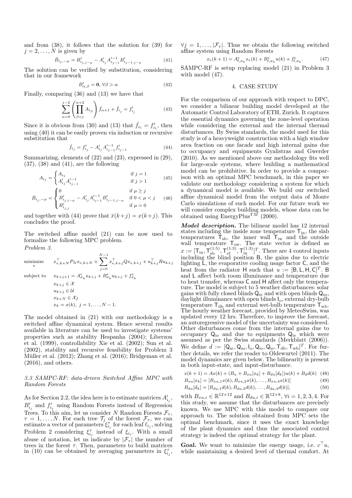and from (38), it follows that the solution for (39) for  $j = 2, \ldots, N$  is given by

$$
\bar{B}_{i_j,-\mu} = B'_{i_j,j-\mu} - A'_{i_j} A'^{-1}_{i_{j-1}} B'_{i_{j-1,j-\mu}}
$$
\n(41)

The solution can be verified by substitution, considering that in our framework

$$
B'_{\alpha,\beta} = \mathbf{0}, \,\forall \beta > \alpha \tag{42}
$$

Finally, comparing (36) and (13) we have that

$$
\sum_{\alpha=0}^{j-2} \left( \prod_{\beta=j}^{\alpha+2} A_{i_{\beta}} \right) \bar{f}_{\alpha+1} + \bar{f}_{i_j} = f'_{i_j}
$$
 (43)

Since it is obvious from (30) and (13) that  $\bar{f}_{i_1} = f'_{i_1}$ , then using (40) it can be easily proven via induction or recursive substitution that

$$
\bar{f}_{i_j} = f'_{i_j} - A'_{i_j} A'^{-1}_{i_{j-1}} f'_{i_{j-1}}
$$
\n(44)

Summarizing, elements of (22) and (23), expressed in (29), (37), (38) and (41), are the following

$$
A_{i_j} = \begin{cases} A_{i_1} & \text{if } j = 1\\ A'_{i_j} A'^{-1}_{i_{j-1}} & \text{if } j > 1 \end{cases}
$$
(45)

$$
\bar{B}_{i_j,-\mu} = \begin{cases} 0 & \text{if } \mu \geq j \\ B'_{i_j,j-\mu} - A'_{i_j} A'^{-1}_{i_j-1} B'_{i_{j-1,j-\mu}} & \text{if } 0 < \mu < j \\ B'_{i_j,j} & \text{if } \mu = 0 \end{cases}
$$
 (46)

and together with (44) prove that  $\bar{x}(k+j) = x(k+j)$ . This concludes the proof.

The switched affine model (21) can be now used to formalize the following MPC problem. Problem 3.

minimize 
$$
x_{e,k+N}^{\top} P_N x_{e,k+N} + \sum_{j=0}^{N-1} x_{e,k+j}^{\top} Q x_{e,k+j} + u_{k+j}^{\top} R u_{k+j}
$$
  
\nsubject to  $x_{k+j+1} = A_{\sigma_k}^e x_{k+j} + B_{\sigma_k}^e u_{k+j} + f_{\sigma_k}^e$   
\n $x_{k+j} \in \mathcal{X}$   
\n $u_{k+j} \in \mathcal{U}$   
\n $x_{k+N} \in \mathcal{X}_f$   
\n $x_k = x(k), j = 1, ..., N - 1$ .

The model obtained in (21) with our methodology is a switched affine dynamical system. Hence several results available in literature can be used to investigate systems' properties such as stability Hespanha (2004); Liberzon et al. (1999), controllability Xie et al. (2002); Sun et al. (2002), stability and recursive feasibility for Problem 3 Müller et al. (2012); Zhang et al. (2016); Bridgeman et al.  $(2016)$ , and others.

#### 3.3 SAMPC-RF: data-driven Switched Affine MPC with Random Forests

As for Section 2.2, the idea here is to estimate matrices  $A'_{i_j}$ ,  $B'_{i_j}$  and  $f'_{i_j}$  using Random Forests instead of Regression Trees. To this aim, let us consider N Random Forests  $\mathcal{F}_{\tau}$ ,  $\tau = 1, \ldots, N$ . For each tree  $\mathcal{T}_j$  of the forest  $\mathcal{F}_{\tau}$ , we can estimate a vector of parameters  $\xi_{i_j}^{\tau}$  for each leaf  $\ell_{i_j}$ , solving Problem 2 considering  $\xi_{i_j}^{\tau}$  instead of  $\xi_{i_j}$ . With a small abuse of notation, let us indicate by  $|\mathcal{F}_{\tau}|$  the number of trees in the forest  $\tau$ . Then, parameters to build matrices in (10) can be obtained by averaging parameters in  $\xi_{i_j}^{\tau}$ ,  $\forall j = 1, \ldots, |\mathcal{F}_{\tau}|$ . Thus we obtain the following switched affine system using Random Forests

$$
x_e(k+1) = A^e_{\mathsf{f},\sigma_k} x_e(k) + B^e_{\mathsf{f},\sigma_k} u(k) + f^e_{\mathsf{f},\sigma_k}.
$$
 (47)

SAMPC-RF is setup replacing model (21) in Problem 3 with model (47).

#### 4. CASE STUDY

For the comparison of our approach with respect to DPC, we consider a bilinear building model developed at the Automatic Control Laboratory of ETH, Zurich. It captures the essential dynamics governing the zone-level operation while considering the external and the internal thermal disturbances. By Swiss standards, the model used for this study is of a heavyweight construction with a high window area fraction on one facade and high internal gains due to occupancy and equipments Gyalistras and Gwerder (2010). As we mentioned above our methodology fits well for large-scale systems, where building a mathematical model can be prohibitive. In order to provide a comparison with an optimal MPC benchmark, in this paper we validate our methodology considering a system for which a dynamical model is available. We build our switched affine dynamical model from the output data of Monte Carlo simulations of such model. For our future work we will consider complex building models, whose data can be obtained using  $\text{EnergyPlus}^{TM}$  (2000).

Model description. The bilinear model has 12 internal states including the inside zone temperature  $T_{in}$ , the slab temperatures  $T_{sb}$ , the inner wall  $T_{iw}$  and the outside wall temperature  $T_{ow}$ . The state vector is defined as  $x := [\mathsf{T}_{\text{in}},\mathsf{T}_{\text{sb}}^{(1:5)},\mathsf{T}_{\text{ef}}^{(1:3)},\mathsf{T}_{\text{in}}^{(1:3)}]^T$ . There are 4 control inputs including the blind position B, the gains due to electric lighting L, the evaporative cooling usage factor C, and the heat from the radiator H such that  $u := [B, L, H, C]^T$ . B and L affect both room illuminance and temperature due to heat transfer, whereas C and H affect only the temperature. The model is subject to 5 weather disturbances: solar gains with fully closed blinds  $Q_{\rm sc}$  and with open blinds  $Q_{\rm so}$ , daylight illuminance with open blinds Io, external dry-bulb temperature  $T_{db}$  and external wet-bulb temperature  $T_{wb}$ . The hourly weather forecast, provided by MeteoSwiss, was updated every 12 hrs. Therefore, to improve the forecast, an autoregressive model of the uncertainty was considered. Other disturbances come from the internal gains due to occupancy  $Q_{io}$  and due to equipments  $Q_{ie}$  which were assumed as per the Swiss standards (Merkblatt (2006)). We define  $d := [\mathsf{Q}_{\mathrm{sc}}, \mathsf{Q}_{\mathrm{so}}, \mathsf{I}_{\mathrm{o}}, \mathsf{Q}_{\mathrm{io}}, \mathsf{Q}_{\mathrm{ie}}, \mathsf{T}_{\mathrm{db}}, \mathsf{T}_{\mathrm{wb}}]^T$ . For further details, we refer the reader to Oldewurtel (2011). The model dynamics are given below. The bilinearity is present in both input-state, and input-disturbance.

$$
x(k+1) = Ax(k) + (B_u + B_{xu}[x_k] + B_{du}[d_k])u(k) + B_d d(k) \quad (48)
$$

$$
B_{xu}[x_k] = [B_{xu,1}x(k), B_{xu,2}x(k), \dots, B_{xu,4}x(k)]
$$
\n(49)

$$
B_{du}[d_k] = [B_{du,1}d(k), B_{du,2}d(k), \dots, B_{du,4}d(k)],
$$
\n(50)

with  $B_{xu,i} \in \mathbb{R}^{12 \times 12}$  and  $B_{du,i} \in \mathbb{R}^{12 \times 8}$ ,  $\forall i = 1, 2, 3, 4$ . For this study, we assume that the disturbances are precisely known. We use MPC with this model to compare our approach to. The solution obtained from MPC sets the optimal benchmark, since it uses the exact knowledge of the plant dynamics and thus the associated control strategy is indeed the optimal strategy for the plant.

**Goal.** We want to minimize the energy usage, i.e.  $c^{\top}u$ , while maintaining a desired level of thermal comfort. At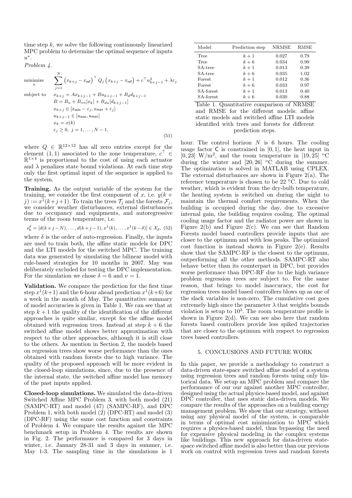time step  $k$ , we solve the following continuously linearized MPC problem to determine the optimal sequence of inputs  $u^*$ .

Problem 4.

minimize  
\n
$$
\sum_{i=1}^{N} (x_{k+j} - x_{\text{ref}})^{\top} Q_j (x_{k+j} - x_{\text{ref}}) + c^{\top} u_{k+j-1}^2 + \lambda \varepsilon_j
$$
\nsubject to  
\n
$$
x_{k+j} = Ax_{k+j-1} + Bu_{k+j-1} + B_d d_{k+j-1}
$$
\n
$$
B = B_u + B_{xu}[x_k] + B_{du}[d_{k+j-1}]
$$
\n
$$
x_{k+j} \in [x_{\min} - \varepsilon_j, x_{\max} + \varepsilon_j]
$$
\n
$$
u_{k+j-1} \in [u_{\min}, u_{\max}]
$$
\n
$$
x_k = x(k)
$$
\n
$$
\varepsilon_j \ge 0, j = 1, ..., N - 1,
$$
\n(51)

where  $Q \in \mathbb{R}^{12 \times 12}$  has all zero entries except for the element (1,1) associated to the zone temperature,  $c^{\top} \in$  $\mathbb{R}^{1\times 4}$  is proportional to the cost of using each actuator and  $\lambda$  penalizes state bound violations. At each time step only the first optimal input of the sequence is applied to the system.

Training. As the output variable of the system for the training, we consider the first component of x, i.e.  $y(k +$  $j) := x^1(k+j+1)$ . To train the trees  $\mathcal{T}_j$  and the forests  $\mathcal{F}_j$ , we consider weather disturbances, external disturbances due to occupancy and equipments, and autoregressive terms of the room temperature, i.e.

$$
s_k^d = [d(k+j-N), \dots, d(k+j-1), x^1(k), \dots, x^1(k-\delta)] \in \mathcal{X}_d, (52)
$$

where  $\delta$  is the order of auto-regression. Finally, the inputs are used to train both, the affine static models for DPC and the LTI models for the switched MPC. The training data was generated by simulating the bilinear model with rule-based strategies for 10 months in 2007. May was deliberately excluded for testing the DPC implementation. For the simulation we chose  $\delta = 6$  and  $\nu = 1$ .

Validation. We compare the prediction for the first time step  $x^1(k+1)$  and the 6-hour ahead prediction  $x^1(k+6)$  for a week in the month of May. The quantitative summary of model accuracies is given in Table 1. We can see that at step  $k + 1$  the quality of the identification of the different approaches is quite similar, except for the affine model obtained with regression trees. Instead at step  $k + 6$  the switched affine model shows better approximation with respect to the other approaches, although it is still close to the others. As mention in Section 2, the models based on regression trees show worse performance than the ones obtained with random forests due to high variance. The quality of the proposed approach will be more evident in the closed-loop simulations, since, due to the presence of the internal state, the switched affine model has memory of the past inputs applied.

Closed-loop simulations. We simulated the data-driven Switched Affine MPC Problem 3, with both model (21) (SAMPC-RT) and model (47) (SAMPC-RF), and DPC Problem 1, with both model (2) (DPC-RT) and model (3) (DPC-RF) using the same cost function and constraints of Problem 4. We compare the results against the MPC benchmark setup in Problem 4. The results are shown in Fig. 2. The performance is compared for 3 days in winter, i.e. January 28-31 and 3 days in summer, i.e. May 1-3. The sampling time in the simulations is 1

| Model     | Prediction step | NRMSE | RMSE |
|-----------|-----------------|-------|------|
| Tree      | $k+1$           | 0.027 | 0.79 |
| Tree      | $k+6$           | 0.034 | 0.99 |
| SA-tree   | $k+1$           | 0.013 | 0.39 |
| SA-tree   | $k+6$           | 0.035 | 1.02 |
| Forest    | $k+1$           | 0.012 | 0.36 |
| Forest    | $k+6$           | 0.033 | 0.97 |
| SA-forest | $k+1$           | 0.013 | 0.40 |
| SA-forest | $k+6$           | 0.030 | 0.88 |

Table 1. Quantitative comparison of NRMSE and RMSE for the different models: affine static models and switched affine LTI models identified with trees and forests for different prediction steps.

hour. The control horizon  $N$  is 6 hours. The cooling usage factor  $C$  is constrained in  $[0, 1]$ , the heat input in  $[0, 23]$  W/m<sup>2</sup>, and the room temperature in  $[19, 25]$  <sup>o</sup>C during the winter and  $[20, 26]$  <sup>o</sup>C during the summer. The optimization is solved in MATLAB using CPLEX. The external disturbances are shown in Figure 2(a). The reference temperature is chosen to be  $22 \text{ °C}$ . Due to cold weather, which is evident from the dry-bulb temperature, the heating system is switched on during the night to maintain the thermal comfort requirements. When the building is occupied during the day, due to excessive internal gain, the building requires cooling. The optimal cooling usage factor and the radiator power are shown in Figure 2(b) and Figure 2(c). We can see that Random Forests model based controllers provide inputs that are closer to the optimum and with less peaks. The optimized cost function is instead shown in Figure 2(e). Results show that the SAMPC-RF is the closest to the optimum, outperforming all the other methods. SAMPC-RT also behave better than its counterpart in DPC, but provides worse performace than DPC-RF due to the high variance problem regression trees are subject to. For the same reason, that brings to model inaccuracy, the cost for regression trees model based controllers blows up as one of the slack variables is non-zero. The cumulative cost goes extremely high since the parameter  $\lambda$  that weights bounds violation is setup to  $10<sup>3</sup>$ . The room temperature profile is shown in Figure  $2(d)$ . We can see also here that random forests based controllers provide less spiked trajectories that are closer to the optimum with respect to regression trees based controllers.

#### 5. CONCLUSIONS AND FUTURE WORK

In this paper, we provide a methodology to construct a data-driven state-space switched affine model of a system using regression trees and random forests using only historical data. We setup an MPC problem and compare the performance of our our against another MPC controller, designed using the actual physics-based model, and against DPC controller, that uses static data-driven models. We compare the results of the approaches on a building energy management problem. We show that our strategy, without using any physical model of the system, is comparable in terms of optimal cost minimization to MPC which requires a physics-based model, thus bypassing the need for expensive physical modeling in the complex systems like buildings. This new approach for data-driven statespace switched affine model is also better than our previous work on control with regression trees and random forests